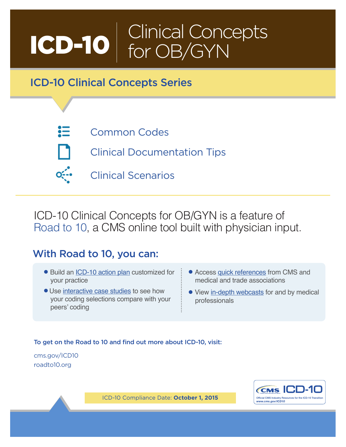# ICD-10 Clinical Concepts for OB/GYN

# ICD-10 Clinical Concepts Series

- 這
- [Common Codes](#page-2-0)
- 
- [Clinical Documentation Tips](#page-7-0)
- [Clinical Scenarios](#page-11-0)

ICD-10 Clinical Concepts for OB/GYN is a feature of [Road to 10,](http://www.roadto10.org/) a CMS online tool built with physician input.

# With Road to 10, you can:

- Build an [ICD-10 action plan](http://www.roadto10.org/action-plan/get-started/) customized for your practice
- Use [interactive case studies](http://www.roadto10.org/ics/) to see how your coding selections compare with your peers' coding
- Access [quick references](http://www.roadto10.org/quick-references/) from CMS and medical and trade associations
- View [in-depth webcasts](http://www.roadto10.org/webcasts/) for and by medical professionals

## To get on the Road to 10 and find out more about ICD-10, visit:

[cms.gov/ICD10](https://www.cms.gov/Medicare/Coding/ICD10/index.html?redirect=/ICD10) [roadto10.org](http://www.roadto10.org/)



*ICD-10 Compliance Date: October 1, 2015*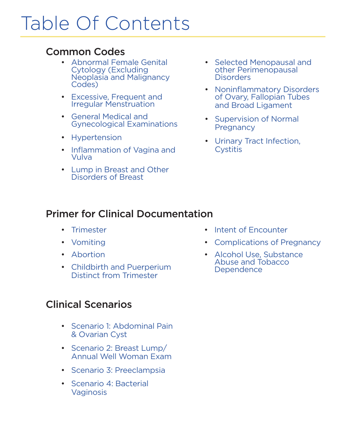# Table Of Contents

# [Common Codes](#page-2-0)

- Abnormal Female Genital Cytology (Excluding [Neoplasia and Malignancy](#page-2-1)  Codes)
- [Excessive, Frequent and](#page-3-0)  Irregular Menstruation
- General Medical and [Gynecological Examinations](#page-3-0)
- [Hypertension](#page-3-0)
- [Inflammation of Vagina and](#page-4-0)  Vulva
- [Lump in Breast and Other](#page-4-0)  Disorders of Breast
- [Selected Menopausal and](#page-5-0)  other Perimenopausal **Disorders**
- [Noninflammatory Disorders](#page-5-0)  of Ovary, Fallopian Tubes and Broad Ligament
- [Supervision of Normal](#page-6-0)  **Pregnancy**
- [Urinary Tract Infection,](#page-6-0)  **Cystitis**

# [Primer for Clinical Documentation](#page-7-0)

- [Trimester](#page-7-1)
- [Vomiting](#page-8-0)
- [Abortion](#page-8-0)
- [Childbirth and Puerperium](#page-9-0)  Distinct from Trimester

# [Clinical Scenarios](#page-11-0)

- [Scenario 1: Abdominal Pain](#page-11-1) & Ovarian Cyst
- Scenario 2: Breast Lump/ [Annual Well Woman Exam](#page-13-0)
- [Scenario 3: Preeclampsia](#page-15-0)
- [Scenario 4: Bacterial](#page-17-0)  Vaginosis
- [Intent of Encounter](#page-9-0)
- [Complications of Pregnancy](#page-10-0)
- [Alcohol Use, Substance](#page-10-0)  Abuse and Tobacco **Dependence**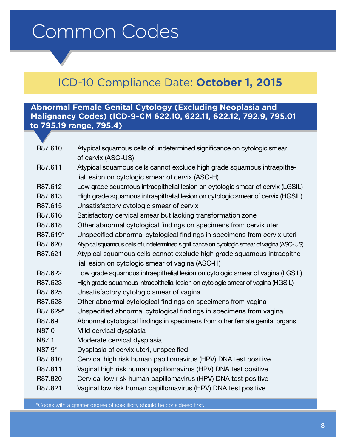# <span id="page-2-1"></span><span id="page-2-0"></span>Common Codes

# ICD-10 Compliance Date: **October 1, 2015**

# **Abnormal Female Genital Cytology (Excluding Neoplasia and Malignancy Codes) (ICD-9-CM 622.10, 622.11, 622.12, 792.9, 795.01 to 795.19 range, 795.4)**

| R87.610  | Atypical squamous cells of undetermined significance on cytologic smear<br>of cervix (ASC-US)                               |
|----------|-----------------------------------------------------------------------------------------------------------------------------|
| R87.611  | Atypical squamous cells cannot exclude high grade squamous intraepithe-<br>lial lesion on cytologic smear of cervix (ASC-H) |
|          |                                                                                                                             |
| R87.612  | Low grade squamous intraepithelial lesion on cytologic smear of cervix (LGSIL)                                              |
| R87.613  | High grade squamous intraepithelial lesion on cytologic smear of cervix (HGSIL)                                             |
| R87.615  | Unsatisfactory cytologic smear of cervix                                                                                    |
| R87.616  | Satisfactory cervical smear but lacking transformation zone                                                                 |
| R87.618  | Other abnormal cytological findings on specimens from cervix uteri                                                          |
| R87.619* | Unspecified abnormal cytological findings in specimens from cervix uteri                                                    |
| R87.620  | Atypical squamous cells of undetermined significance on cytologic smear of vagina (ASC-US)                                  |
| R87.621  | Atypical squamous cells cannot exclude high grade squamous intraepithe-                                                     |
|          | lial lesion on cytologic smear of vagina (ASC-H)                                                                            |
| R87.622  | Low grade squamous intraepithelial lesion on cytologic smear of vagina (LGSIL)                                              |
| R87.623  | High grade squamous intraepithelial lesion on cytologic smear of vagina (HGSIL)                                             |
| R87.625  | Unsatisfactory cytologic smear of vagina                                                                                    |
| R87.628  | Other abnormal cytological findings on specimens from vagina                                                                |
| R87.629* | Unspecified abnormal cytological findings in specimens from vagina                                                          |
| R87.69   | Abnormal cytological findings in specimens from other female genital organs                                                 |
| N87.0    | Mild cervical dysplasia                                                                                                     |
| N87.1    | Moderate cervical dysplasia                                                                                                 |
| N87.9*   | Dysplasia of cervix uteri, unspecified                                                                                      |
| R87.810  | Cervical high risk human papillomavirus (HPV) DNA test positive                                                             |
| R87.811  | Vaginal high risk human papillomavirus (HPV) DNA test positive                                                              |
| R87.820  | Cervical low risk human papillomavirus (HPV) DNA test positive                                                              |
| R87.821  | Vaginal low risk human papillomavirus (HPV) DNA test positive                                                               |
|          |                                                                                                                             |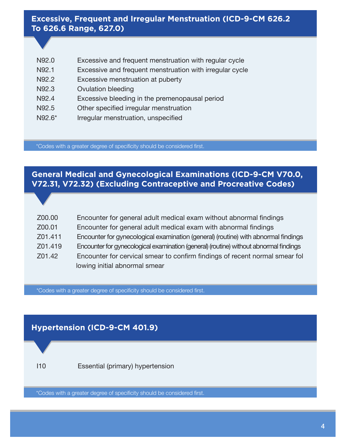# <span id="page-3-0"></span>**Excessive, Frequent and Irregular Menstruation (ICD-9-CM 626.2 To 626.6 Range, 627.0)**

| N92.0  | Excessive and frequent menstruation with regular cycle   |
|--------|----------------------------------------------------------|
| N92.1  | Excessive and frequent menstruation with irregular cycle |
| N92.2  | Excessive menstruation at puberty                        |
| N92.3  | <b>Ovulation bleeding</b>                                |
| N92.4  | Excessive bleeding in the premenopausal period           |
| N92.5  | Other specified irregular menstruation                   |
| N92.6* | Irregular menstruation, unspecified                      |

\*Codes with a greater degree of specificity should be considered first.

# **General Medical and Gynecological Examinations (ICD-9-CM V70.0, V72.31, V72.32) (Excluding Contraceptive and Procreative Codes)**

| Z00.00  | Encounter for general adult medical exam without abnormal findings                    |
|---------|---------------------------------------------------------------------------------------|
| Z00.01  | Encounter for general adult medical exam with abnormal findings                       |
| Z01.411 | Encounter for gynecological examination (general) (routine) with abnormal findings    |
| Z01.419 | Encounter for gynecological examination (general) (routine) without abnormal findings |
| Z01.42  | Encounter for cervical smear to confirm findings of recent normal smear fol           |
|         | lowing initial abnormal smear                                                         |

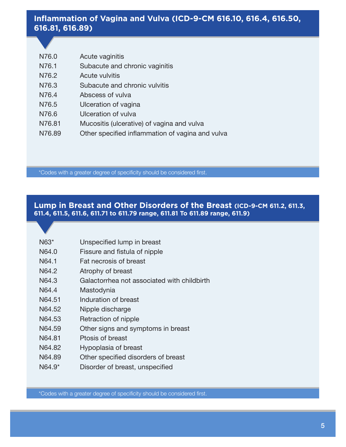# <span id="page-4-0"></span>**Inflammation of Vagina and Vulva (ICD-9-CM 616.10, 616.4, 616.50, 616.81, 616.89)**

| N76.0  | Acute vaginitis                                  |
|--------|--------------------------------------------------|
| N76.1  | Subacute and chronic vaginitis                   |
| N76.2  | <b>Acute vulvitis</b>                            |
| N76.3  | Subacute and chronic vulvitis                    |
| N76.4  | Abscess of vulva                                 |
| N76.5  | Ulceration of vagina                             |
| N76.6  | Ulceration of vulva                              |
| N76.81 | Mucositis (ulcerative) of vagina and vulva       |
| N76.89 | Other specified inflammation of vagina and vulva |

\*Codes with a greater degree of specificity should be considered first.

## **Lump in Breast and Other Disorders of the Breast (ICD-9-CM 611.2, 611.3, 611.4, 611.5, 611.6, 611.71 to 611.79 range, 611.81 To 611.89 range, 611.9)**

- N64.0 Fissure and fistula of nipple
- N64.1 Fat necrosis of breast
- N64.2 Atrophy of breast
- N64.3 Galactorrhea not associated with childbirth
- N64.4 Mastodynia
- N64.51 Induration of breast
- N64.52 Nipple discharge
- N64.53 Retraction of nipple
- N64.59 Other signs and symptoms in breast
- N64.81 Ptosis of breast
- N64.82 Hypoplasia of breast
- N64.89 Other specified disorders of breast
- N64.9<sup>\*</sup> Disorder of breast, unspecified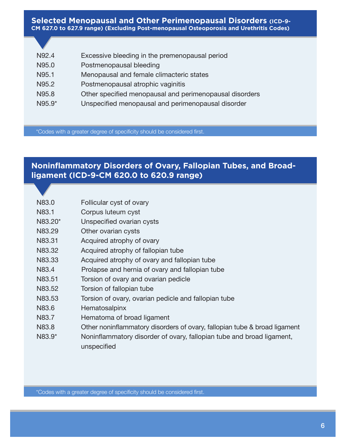#### <span id="page-5-0"></span>**Selected Menopausal and Other Perimenopausal Disorders (ICD-9- CM 627.0 to 627.9 range) (Excluding Post-menopausal Osteoporosis and Urethritis Codes)**

| N92.4  | Excessive bleeding in the premenopausal period          |
|--------|---------------------------------------------------------|
| N95.0  | Postmenopausal bleeding                                 |
| N95.1  | Menopausal and female climacteric states                |
| N95.2  | Postmenopausal atrophic vaginitis                       |
| N95.8  | Other specified menopausal and perimenopausal disorders |
| N95.9* | Unspecified menopausal and perimenopausal disorder      |
|        |                                                         |

\*Codes with a greater degree of specificity should be considered first.

# **Noninflammatory Disorders of Ovary, Fallopian Tubes, and Broadligament (ICD-9-CM 620.0 to 620.9 range)**

| N83.0 | Follicular cyst of ovary |  |  |
|-------|--------------------------|--|--|
|-------|--------------------------|--|--|

- N83.1 Corpus luteum cyst
- N83.20<sup>\*</sup> Unspecified ovarian cysts
- N83.29 Other ovarian cysts
- N83.31 Acquired atrophy of ovary
- N83.32 Acquired atrophy of fallopian tube
- N83.33 Acquired atrophy of ovary and fallopian tube
- N83.4 Prolapse and hernia of ovary and fallopian tube
- N83.51 Torsion of ovary and ovarian pedicle
- N83.52 Torsion of fallopian tube
- N83.53 Torsion of ovary, ovarian pedicle and fallopian tube
- N83.6 Hematosalpinx
- N83.7 Hematoma of broad ligament
- N83.8 Other noninflammatory disorders of ovary, fallopian tube & broad ligament
- N83.9<sup>\*</sup> Noninflammatory disorder of ovary, fallopian tube and broad ligament, unspecified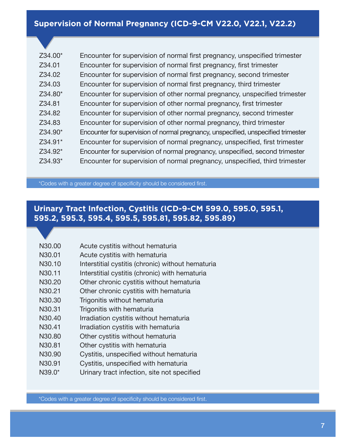<span id="page-6-0"></span>

| Z34.00* | Encounter for supervision of normal first pregnancy, unspecified trimester        |
|---------|-----------------------------------------------------------------------------------|
| Z34.01  | Encounter for supervision of normal first pregnancy, first trimester              |
| Z34.02  | Encounter for supervision of normal first pregnancy, second trimester             |
| Z34.03  | Encounter for supervision of normal first pregnancy, third trimester              |
| Z34.80* | Encounter for supervision of other normal pregnancy, unspecified trimester        |
| Z34.81  | Encounter for supervision of other normal pregnancy, first trimester              |
| Z34.82  | Encounter for supervision of other normal pregnancy, second trimester             |
| Z34.83  | Encounter for supervision of other normal pregnancy, third trimester              |
| Z34.90* | Encounter for supervision of normal pregnancy, unspecified, unspecified trimester |
| Z34.91* | Encounter for supervision of normal pregnancy, unspecified, first trimester       |
| Z34.92* | Encounter for supervision of normal pregnancy, unspecified, second trimester      |
| Z34.93* | Encounter for supervision of normal pregnancy, unspecified, third trimester       |
|         |                                                                                   |

\*Codes with a greater degree of specificity should be considered first.

# **Urinary Tract Infection, Cystitis (ICD-9-CM 599.0, 595.0, 595.1, 595.2, 595.3, 595.4, 595.5, 595.81, 595.82, 595.89)**

| N30.00 | Acute cystitis without hematuria                  |
|--------|---------------------------------------------------|
| N30.01 | Acute cystitis with hematuria                     |
| N30.10 | Interstitial cystitis (chronic) without hematuria |
| N30.11 | Interstitial cystitis (chronic) with hematuria    |
| N30.20 | Other chronic cystitis without hematuria          |
| N30.21 | Other chronic cystitis with hematuria             |
| N30.30 | Trigonitis without hematuria                      |
| N30.31 | Trigonitis with hematuria                         |
| N30.40 | Irradiation cystitis without hematuria            |
| N30.41 | Irradiation cystitis with hematuria               |
| N30.80 | Other cystitis without hematuria                  |
| N30.81 | Other cystitis with hematuria                     |
| N30.90 | Cystitis, unspecified without hematuria           |
| N30.91 | Cystitis, unspecified with hematuria              |
| N39.0* | Urinary tract infection, site not specified       |
|        |                                                   |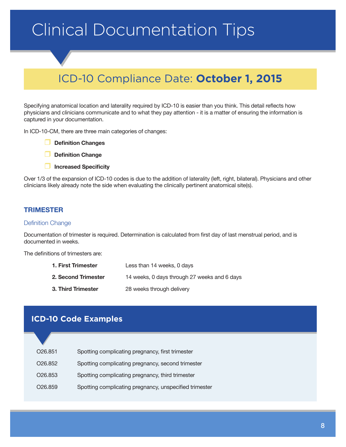# <span id="page-7-1"></span><span id="page-7-0"></span>Clinical Documentation Tips

# ICD-10 Compliance Date: **October 1, 2015**

Specifying anatomical location and laterality required by ICD-10 is easier than you think. This detail reflects how physicians and clinicians communicate and to what they pay attention - it is a matter of ensuring the information is captured in your documentation.

In ICD-10-CM, there are three main categories of changes:

- **Definition Changes**
- **Definition Change**
- **Increased Specificity**

Over 1/3 of the expansion of ICD-10 codes is due to the addition of laterality (left, right, bilateral). Physicians and other clinicians likely already note the side when evaluating the clinically pertinent anatomical site(s).

### **TRIMESTER**

#### Definition Change

Documentation of trimester is required. Determination is calculated from first day of last menstrual period, and is documented in weeks.

The definitions of trimesters are:

| 1. First Trimester  | Less than 14 weeks, 0 days                   |
|---------------------|----------------------------------------------|
| 2. Second Trimester | 14 weeks, 0 days through 27 weeks and 6 days |
| 3. Third Trimester  | 28 weeks through delivery                    |

## **ICD-10 Code Examples**

| O <sub>26.851</sub>  | Spotting complicating pregnancy, first trimester       |
|----------------------|--------------------------------------------------------|
| O <sub>26</sub> .852 | Spotting complicating pregnancy, second trimester      |
| O <sub>26</sub> .853 | Spotting complicating pregnancy, third trimester       |
| O <sub>26</sub> .859 | Spotting complicating pregnancy, unspecified trimester |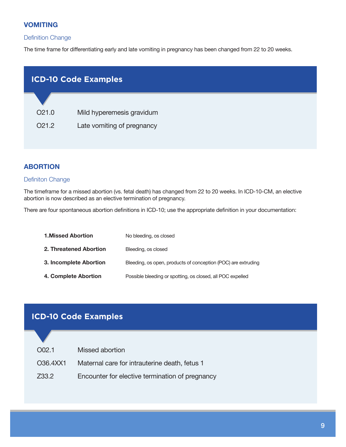#### <span id="page-8-0"></span>**VOMITING**

#### Definition Change

The time frame for differentiating early and late vomiting in pregnancy has been changed from 22 to 20 weeks.

| <b>ICD-10 Code Examples</b> |                            |  |
|-----------------------------|----------------------------|--|
|                             |                            |  |
| O <sub>21.0</sub>           | Mild hyperemesis gravidum  |  |
| O <sub>21.2</sub>           | Late vomiting of pregnancy |  |

#### **ABORTION**

#### Definiton Change

The timeframe for a missed abortion (vs. fetal death) has changed from 22 to 20 weeks. In ICD-10-CM, an elective abortion is now described as an elective termination of pregnancy.

There are four spontaneous abortion definitions in ICD-10; use the appropriate definition in your documentation:

| <b>1.Missed Abortion</b> | No bleeding, os closed                                        |
|--------------------------|---------------------------------------------------------------|
| 2. Threatened Abortion   | Bleeding, os closed                                           |
| 3. Incomplete Abortion   | Bleeding, os open, products of conception (POC) are extruding |
| 4. Complete Abortion     | Possible bleeding or spotting, os closed, all POC expelled    |

# **ICD-10 Code Examples**

| O <sub>0</sub> 2.1 | Missed abortion                                 |
|--------------------|-------------------------------------------------|
| O36.4XX1           | Maternal care for intrauterine death, fetus 1   |
| Z33.2              | Encounter for elective termination of pregnancy |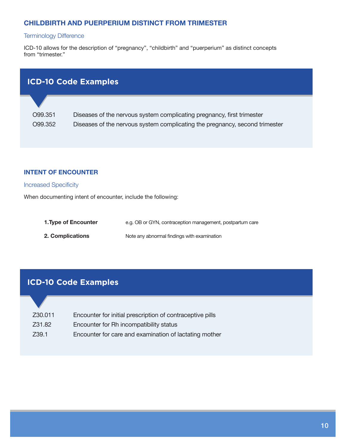### <span id="page-9-0"></span>**CHILDBIRTH AND PUERPERIUM DISTINCT FROM TRIMESTER**

#### Terminology Difference

ICD-10 allows for the description of "pregnancy", "childbirth" and "puerperium" as distinct concepts from "trimester."

| <b>ICD-10 Code Examples</b> |                                                                        |  |  |  |
|-----------------------------|------------------------------------------------------------------------|--|--|--|
|                             |                                                                        |  |  |  |
| O99.351                     | Diseases of the nervous system complicating pregnancy, first trimester |  |  |  |

O99.352 Diseases of the nervous system complicating the pregnancy, second trimester

#### **INTENT OF ENCOUNTER**

#### Increased Specificity

When documenting intent of encounter, include the following:

| 1. Type of Encounter    | e.g. OB or GYN, contraception management, postpartum care |
|-------------------------|-----------------------------------------------------------|
| <b>2. Complications</b> | Note any abnormal findings with examination               |

# **ICD-10 Code Examples**

| Z30.011 | Encounter for initial prescription of contraceptive pills |
|---------|-----------------------------------------------------------|
| Z31.82  | Encounter for Rh incompatibility status                   |

Z39.1 Encounter for care and examination of lactating mother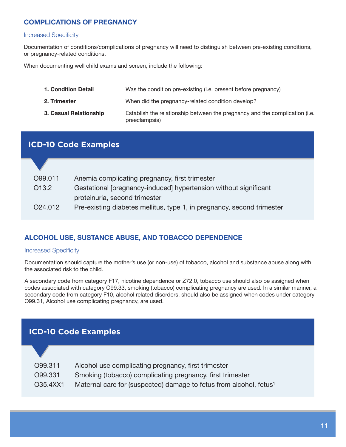## <span id="page-10-0"></span>**COMPLICATIONS OF PREGNANCY**

#### Increased Specificity

Documentation of conditions/complications of pregnancy will need to distinguish between pre-existing conditions, or pregnancy-related conditions.

When documenting well child exams and screen, include the following:

| <b>1. Condition Detail</b> | Was the condition pre-existing (i.e. present before pregnancy)                               |
|----------------------------|----------------------------------------------------------------------------------------------|
| 2. Trimester               | When did the pregnancy-related condition develop?                                            |
| 3. Casual Relationship     | Establish the relationship between the pregnancy and the complication (i.e.<br>preeclampsia) |

# **ICD-10 Code Examples**

| O99.011             | Anemia complicating pregnancy, first trimester                         |
|---------------------|------------------------------------------------------------------------|
| O <sub>13.2</sub>   | Gestational [pregnancy-induced] hypertension without significant       |
|                     | proteinuria, second trimester                                          |
| O <sub>24.012</sub> | Pre-existing diabetes mellitus, type 1, in pregnancy, second trimester |

## **ALCOHOL USE, SUSTANCE ABUSE, AND TOBACCO DEPENDENCE**

#### Increased Specificity

Documentation should capture the mother's use (or non-use) of tobacco, alcohol and substance abuse along with the associated risk to the child.

A secondary code from category F17, nicotine dependence or Z72.0, tobacco use should also be assigned when codes associated with category O99.33, smoking (tobacco) complicating pregnancy are used. In a similar manner, a secondary code from category F10, alcohol related disorders, should also be assigned when codes under category O99.31, Alcohol use complicating pregnancy, are used.

# **ICD-10 Code Examples**

| O99.311  | Alcohol use complicating pregnancy, first trimester                            |
|----------|--------------------------------------------------------------------------------|
| O99.331  | Smoking (tobacco) complicating pregnancy, first trimester                      |
| O35.4XX1 | Maternal care for (suspected) damage to fetus from alcohol, fetus <sup>1</sup> |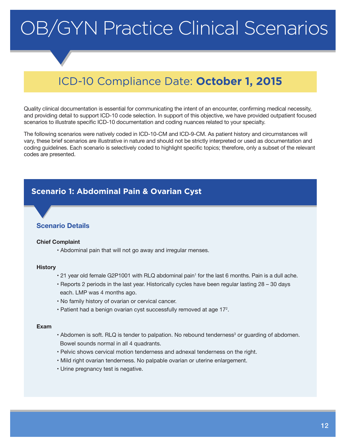# <span id="page-11-0"></span>OB/GYN Practice Clinical Scenarios

# ICD-10 Compliance Date: **October 1, 2015**

Quality clinical documentation is essential for communicating the intent of an encounter, confirming medical necessity, and providing detail to support ICD-10 code selection. In support of this objective, we have provided outpatient focused scenarios to illustrate specific ICD-10 documentation and coding nuances related to your specialty.

The following scenarios were natively coded in ICD-10-CM and ICD-9-CM. As patient history and circumstances will vary, these brief scenarios are illustrative in nature and should not be strictly interpreted or used as documentation and coding guidelines. Each scenario is selectively coded to highlight specific topics; therefore, only a subset of the relevant codes are presented.

# <span id="page-11-1"></span>**Scenario 1: Abdominal Pain & Ovarian Cyst**

#### **Scenario Details**

#### **Chief Complaint**

• Abdominal pain that will not go away and irregular menses.

#### **History**

- 21 year old female G2P1001 with RLQ abdominal pain<sup>1</sup> for the last 6 months. Pain is a dull ache.
- Reports 2 periods in the last year. Historically cycles have been regular lasting 28 30 days each. LMP was 4 months ago.
- No family history of ovarian or cervical cancer.
- $\cdot$  Patient had a benign ovarian cyst successfully removed at age 17 $^2$ .

#### **Exam**

- Abdomen is soft. RLQ is tender to palpation. No rebound tenderness<sup>3</sup> or guarding of abdomen. Bowel sounds normal in all 4 quadrants.
- Pelvic shows cervical motion tenderness and adnexal tenderness on the right.
- Mild right ovarian tenderness. No palpable ovarian or uterine enlargement.
- Urine pregnancy test is negative.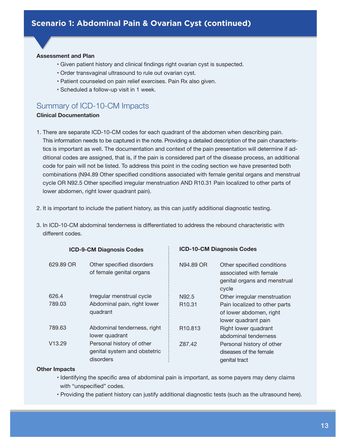#### **Assessment and Plan**

- Given patient history and clinical findings right ovarian cyst is suspected.
- Order transvaginal ultrasound to rule out ovarian cyst.
- Patient counseled on pain relief exercises. Pain Rx also given.
- Scheduled a follow-up visit in 1 week.

# Summary of ICD-10-CM Impacts

#### **Clinical Documentation**

- 1. There are separate ICD-10-CM codes for each quadrant of the abdomen when describing pain. This information needs to be captured in the note. Providing a detailed description of the pain characteristics is important as well. The documentation and context of the pain presentation will determine if additional codes are assigned, that is, if the pain is considered part of the disease process, an additional code for pain will not be listed. To address this point in the coding section we have presented both combinations (N94.89 Other specified conditions associated with female genital organs and menstrual cycle OR N92.5 Other specified irregular menstruation AND R10.31 Pain localized to other parts of lower abdomen, right lower quadrant pain).
- 2. It is important to include the patient history, as this can justify additional diagnostic testing.
- 3. In ICD-10-CM abdominal tenderness is differentiated to address the rebound characteristic with different codes.

| <b>ICD-9-CM Diagnosis Codes</b> |                                                                        | <b>ICD-10-CM Diagnosis Codes</b> |                                                                                               |
|---------------------------------|------------------------------------------------------------------------|----------------------------------|-----------------------------------------------------------------------------------------------|
| 629.89 OR                       | Other specified disorders<br>of female genital organs                  | N94.89 OR                        | Other specified conditions<br>associated with female<br>genital organs and menstrual<br>cycle |
| 626.4                           | Irregular menstrual cycle                                              | N92.5                            | Other irregular menstruation                                                                  |
| 789.03                          | Abdominal pain, right lower<br>quadrant                                | R <sub>10.31</sub>               | Pain localized to other parts<br>of lower abdomen, right<br>lower quadrant pain               |
| 789.63                          | Abdominal tenderness, right<br>lower quadrant                          | R <sub>10.813</sub>              | Right lower quadrant<br>abdominal tenderness                                                  |
| V <sub>13.29</sub>              | Personal history of other<br>genital system and obstetric<br>disorders | Z87.42                           | Personal history of other<br>diseases of the female<br>genital tract                          |

#### **Other Impacts**

- Identifying the specific area of abdominal pain is important, as some payers may deny claims with "unspecified" codes.
- Providing the patient history can justify additional diagnostic tests (such as the ultrasound here).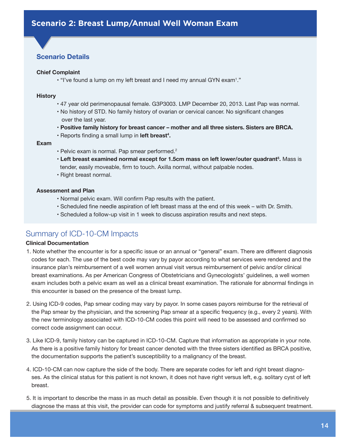## <span id="page-13-0"></span>**Scenario Details**

#### **Chief Complaint**

 $\cdot$  "I've found a lump on my left breast and I need my annual GYN exam<sup>1</sup>."

#### **History**

- 47 year old perimenopausal female. G3P3003. LMP December 20, 2013. Last Pap was normal.
- No history of STD. No family history of ovarian or cervical cancer. No significant changes over the last year.
- **Positive family history for breast cancer mother and all three sisters. Sisters are BRCA.**
- Reports finding a small lump in **left breast<sup>4</sup> .**

#### **Exam**

- Pelvic exam is normal. Pap smear performed.<sup>2</sup>
- **Left breast examined normal except for 1.5cm mass on left lower/outer quadrant5 .** Mass is tender, easily moveable, firm to touch. Axilla normal, without palpable nodes.
- Right breast normal.

#### **Assessment and Plan**

- Normal pelvic exam. Will confirm Pap results with the patient.
- Scheduled fine needle aspiration of left breast mass at the end of this week with Dr. Smith.
- Scheduled a follow-up visit in 1 week to discuss aspiration results and next steps.

## Summary of ICD-10-CM Impacts

#### **Clinical Documentation**

- 1. Note whether the encounter is for a specific issue or an annual or "general" exam. There are different diagnosis codes for each. The use of the best code may vary by payor according to what services were rendered and the insurance plan's reimbursement of a well women annual visit versus reimbursement of pelvic and/or clinical breast examinations. As per American Congress of Obstetricians and Gynecologists' guidelines, a well women exam includes both a pelvic exam as well as a clinical breast examination. The rationale for abnormal findings in this encounter is based on the presence of the breast lump.
- 2. Using ICD-9 codes, Pap smear coding may vary by payor. In some cases payors reimburse for the retrieval of the Pap smear by the physician, and the screening Pap smear at a specific frequency (e.g., every 2 years). With the new terminology associated with ICD-10-CM codes this point will need to be assessed and confirmed so correct code assignment can occur.
- 3. Like ICD-9, family history can be captured in ICD-10-CM. Capture that information as appropriate in your note. As there is a positive family history for breast cancer denoted with the three sisters identified as BRCA positive, the documentation supports the patient's susceptibility to a malignancy of the breast.
- 4. ICD-10-CM can now capture the side of the body. There are separate codes for left and right breast diagnoses. As the clinical status for this patient is not known, it does not have right versus left, e.g. solitary cyst of left breast.
- 5. It is important to describe the mass in as much detail as possible. Even though it is not possible to definitively diagnose the mass at this visit, the provider can code for symptoms and justify referral & subsequent treatment.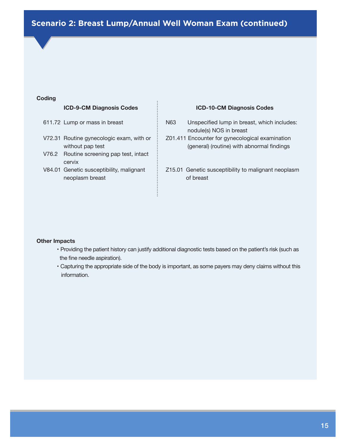# **Scenario 2: Breast Lump/Annual Well Woman Exam (continued)**

#### **Coding**

#### **ICD-9-CM Diagnosis Codes**

- 611.72 Lump or mass in breast
- V72.31 Routine gynecologic exam, with or without pap test
- V76.2 Routine screening pap test, intact cervix
- V84.01 Genetic susceptibility, malignant neoplasm breast

#### **ICD-10-CM Diagnosis Codes**

- N63 Unspecified lump in breast, which includes: nodule(s) NOS in breast
- Z01.411 Encounter for gynecological examination (general) (routine) with abnormal findings
- Z15.01 Genetic susceptibility to malignant neoplasm of breast

#### **Other Impacts**

- Providing the patient history can justify additional diagnostic tests based on the patient's risk (such as the fine needle aspiration).
- Capturing the appropriate side of the body is important, as some payers may deny claims without this information.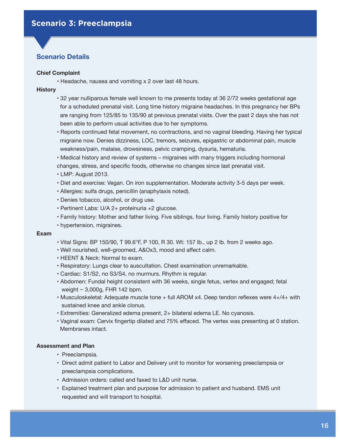## <span id="page-15-0"></span>**Scenario Details**

#### **Chief Complaint**

• Headache, nausea and vomiting x 2 over last 48 hours.

#### **History**

- 32 year nulliparous female well known to me presents today at 36 2/72 weeks gestational age for a scheduled prenatal visit. Long time history migraine headaches. In this pregnancy her BPs are ranging from 125/85 to 135/90 at previous prenatal visits. Over the past 2 days she has not been able to perform usual activities due to her symptoms.
- Reports continued fetal movement, no contractions, and no vaginal bleeding. Having her typical migraine now. Denies dizziness, LOC, tremors, seizures, epigastric or abdominal pain, muscle weakness/pain, malaise, drowsiness, pelvic cramping, dysuria, hematuria.
- Medical history and review of systems migraines with many triggers including hormonal
- changes, stress, and specific foods, otherwise no changes since last prenatal visit.
- LMP: August 2013.
- Diet and exercise: Vegan. On iron supplementation. Moderate activity 3-5 days per week.
- Allergies: sulfa drugs, penicillin (anaphylaxis noted).
- Denies tobacco, alcohol, or drug use.
- Pertinent Labs: U/A 2+ proteinuria +2 glucose.
- Family history: Mother and father living. Five siblings, four living. Family history positive for • hypertension, migraines.

#### **Exam**

- Vital Signs: BP 150/90, T 99.6°F, P 100, R 30. Wt: 157 lb., up 2 lb. from 2 weeks ago.
- Well nourished, well-groomed, A&Ox3, mood and affect calm.
- HEENT & Neck: Normal to exam.
- Respiratory: Lungs clear to auscultation. Chest examination unremarkable.
- Cardiac: S1/S2, no S3/S4, no murmurs. Rhythm is regular.
- Abdomen: Fundal height consistent with 36 weeks, single fetus, vertex and engaged; fetal weight ~ 3,000g, FHR 142 bpm.
- Musculoskeletal: Adequate muscle tone + full AROM x4. Deep tendon reflexes were 4+/4+ with sustained knee and ankle clonus.
- Extremities: Generalized edema present, 2+ bilateral edema LE. No cyanosis.
- Vaginal exam: Cervix fingertip dilated and 75% effaced. The vertex was presenting at 0 station. Membranes intact.

#### **Assessment and Plan**

- Preeclampsia.
- • Direct admit patient to Labor and Delivery unit to monitor for worsening preeclampsia or preeclampsia complications.
- • Admission orders: called and faxed to L&D unit nurse.
- • Explained treatment plan and purpose for admission to patient and husband. EMS unit requested and will transport to hospital.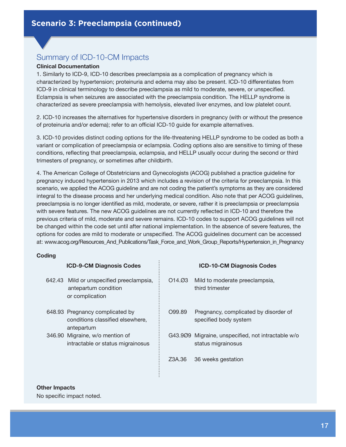# Summary of ICD-10-CM Impacts

#### **Clinical Documentation**

1. Similarly to ICD-9, ICD-10 describes preeclampsia as a complication of pregnancy which is characterized by hypertension; proteinuria and edema may also be present. ICD-10 differentiates from ICD-9 in clinical terminology to describe preeclampsia as mild to moderate, severe, or unspecified. Eclampsia is when seizures are associated with the preeclampsia condition. The HELLP syndrome is characterized as severe preeclampsia with hemolysis, elevated liver enzymes, and low platelet count.

2. ICD-10 increases the alternatives for hypertensive disorders in pregnancy (with or without the presence of proteinuria and/or edema); refer to an official ICD-10 guide for example alternatives.

3. ICD-10 provides distinct coding options for the life-threatening HELLP syndrome to be coded as both a variant or complication of preeclampsia or eclampsia. Coding options also are sensitive to timing of these conditions, reflecting that preeclampsia, eclampsia, and HELLP usually occur during the second or third trimesters of pregnancy, or sometimes after childbirth.

4. The American College of Obstetricians and Gynecologists (ACOG) published a practice guideline for pregnancy induced hypertension in 2013 which includes a revision of the criteria for preeclampsia. In this scenario, we applied the ACOG guideline and are not coding the patient's symptoms as they are considered integral to the disease process and her underlying medical condition. Also note that per ACOG guidelines, preeclampsia is no longer identified as mild, moderate, or severe, rather it is preeclampsia or preeclampsia with severe features. The new ACOG guidelines are not currently reflected in ICD-10 and therefore the previous criteria of mild, moderate and severe remains. ICD-10 codes to support ACOG guidelines will not be changed within the code set until after national implementation. In the absence of severe features, the options for codes are mild to moderate or unspecified. The ACOG guidelines document can be accessed at: www.acog.org/Resources\_And\_Publications/Task\_Force\_and\_Work\_Group\_Reports/Hypertension\_in\_Pregnancy

#### **Coding**

| <b>ICD-9-CM Diagnosis Codes</b>                                                     |        | <b>ICD-10-CM Diagnosis Codes</b>                                         |
|-------------------------------------------------------------------------------------|--------|--------------------------------------------------------------------------|
| 642.43 Mild or unspecified preeclampsia,<br>antepartum condition<br>or complication | 014.03 | Mild to moderate preeclampsia,<br>third trimester                        |
| 648.93 Pregnancy complicated by<br>conditions classified elsewhere,<br>antepartum   | O99.89 | Pregnancy, complicated by disorder of<br>specified body system           |
| 346.90 Migraine, w/o mention of<br>intractable or status migrainosus                |        | G43.909 Migraine, unspecified, not intractable w/o<br>status migrainosus |
|                                                                                     | Z3A.36 | 36 weeks gestation                                                       |

#### **Other Impacts**

No specific impact noted.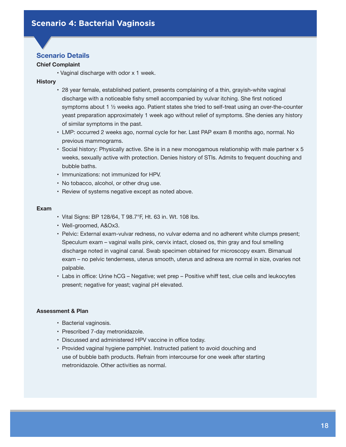## <span id="page-17-0"></span>**Scenario Details**

#### **Chief Complaint**

• Vaginal discharge with odor x 1 week.

#### **History**

- 28 year female, established patient, presents complaining of a thin, grayish-white vaginal discharge with a noticeable fishy smell accompanied by vulvar itching. She first noticed symptoms about 1 ½ weeks ago. Patient states she tried to self-treat using an over-the-counter yeast preparation approximately 1 week ago without relief of symptoms. She denies any history of similar symptoms in the past.
- • LMP: occurred 2 weeks ago, normal cycle for her. Last PAP exam 8 months ago, normal. No previous mammograms.
- • Social history: Physically active. She is in a new monogamous relationship with male partner x 5 weeks, sexually active with protection. Denies history of STIs. Admits to frequent douching and bubble baths.
- • Immunizations: not immunized for HPV.
- No tobacco, alcohol, or other drug use.
- Review of systems negative except as noted above.

#### **Exam**

- • Vital Signs: BP 128/64, T 98.7°F, Ht. 63 in. Wt. 108 lbs.
- • Well-groomed, A&Ox3.
- • Pelvic: External exam-vulvar redness, no vulvar edema and no adherent white clumps present; Speculum exam – vaginal walls pink, cervix intact, closed os, thin gray and foul smelling discharge noted in vaginal canal. Swab specimen obtained for microscopy exam. Bimanual exam – no pelvic tenderness, uterus smooth, uterus and adnexa are normal in size, ovaries not palpable.
- Labs in office: Urine hCG Negative; wet prep Positive whiff test, clue cells and leukocytes present; negative for yeast; vaginal pH elevated.

#### **Assessment & Plan**

- Bacterial vaginosis.
- Prescribed 7-day metronidazole.
- Discussed and administered HPV vaccine in office today.
- • Provided vaginal hygiene pamphlet. Instructed patient to avoid douching and use of bubble bath products. Refrain from intercourse for one week after starting metronidazole. Other activities as normal.